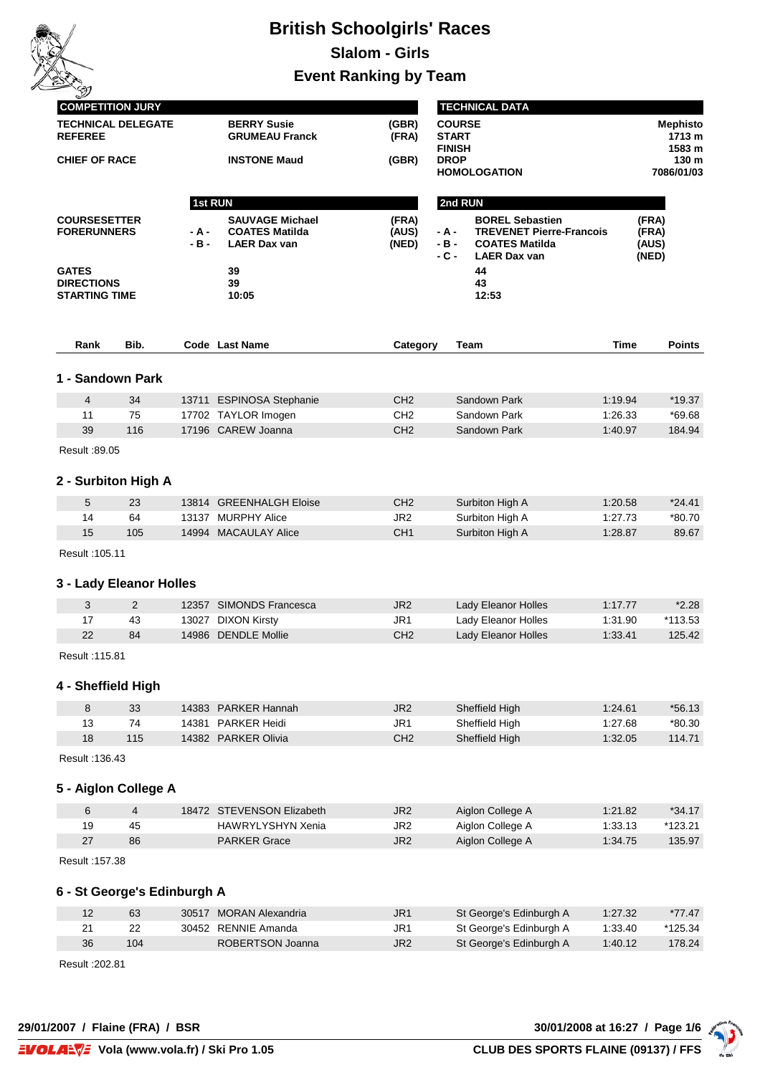

## **British Schoolgirls' Races**

**Slalom - Girls**

**Event Ranking by Team**

|                      | <b>COMPETITION JURY</b> |                             |                     |                                              |                 |                                                | <b>TECHNICAL DATA</b>                                                           |         |                                     |
|----------------------|-------------------------|-----------------------------|---------------------|----------------------------------------------|-----------------|------------------------------------------------|---------------------------------------------------------------------------------|---------|-------------------------------------|
|                      | <b>REFEREE</b>          | <b>TECHNICAL DELEGATE</b>   |                     | <b>BERRY Susie</b><br><b>GRUMEAU Franck</b>  | (GBR)<br>(FRA)  | <b>COURSE</b><br><b>START</b><br><b>FINISH</b> |                                                                                 |         | <b>Mephisto</b><br>1713 m<br>1583 m |
| <b>CHIEF OF RACE</b> |                         |                             | <b>INSTONE Maud</b> |                                              | (GBR)           | <b>DROP</b>                                    | <b>HOMOLOGATION</b>                                                             |         | 130 m<br>7086/01/03                 |
|                      |                         |                             |                     |                                              |                 |                                                |                                                                                 |         |                                     |
|                      | <b>COURSESETTER</b>     |                             | 1st RUN             | <b>SAUVAGE Michael</b>                       | (FRA)           | 2nd RUN                                        | <b>BOREL Sebastien</b>                                                          |         | (FRA)                               |
|                      | <b>FORERUNNERS</b>      |                             | - A -<br>$-B -$     | <b>COATES Matilda</b><br><b>LAER Dax van</b> | (AUS)<br>(NED)  | - A -<br>$-B -$<br>- C -                       | <b>TREVENET Pierre-Francois</b><br><b>COATES Matilda</b><br><b>LAER Dax van</b> |         | (FRA)<br>(AUS)<br>(NED)             |
| <b>GATES</b>         | <b>DIRECTIONS</b>       |                             |                     | 39<br>39                                     |                 |                                                | 44<br>43                                                                        |         |                                     |
|                      | <b>STARTING TIME</b>    |                             |                     | 10:05                                        |                 |                                                | 12:53                                                                           |         |                                     |
|                      | Rank                    | Bib.                        |                     | Code Last Name                               | Category        |                                                | Team                                                                            | Time    | <b>Points</b>                       |
|                      |                         |                             |                     |                                              |                 |                                                |                                                                                 |         |                                     |
|                      | 1 - Sandown Park        |                             |                     |                                              |                 |                                                |                                                                                 |         |                                     |
|                      | 4                       | 34                          |                     | 13711 ESPINOSA Stephanie                     | CH <sub>2</sub> |                                                | Sandown Park                                                                    | 1:19.94 | $*19.37$                            |
|                      | 11                      | 75                          |                     | 17702 TAYLOR Imogen                          | CH <sub>2</sub> |                                                | Sandown Park                                                                    | 1:26.33 | *69.68                              |
|                      | 39                      | 116                         |                     | 17196 CAREW Joanna                           | CH <sub>2</sub> |                                                | Sandown Park                                                                    | 1:40.97 | 184.94                              |
|                      | Result :89.05           |                             |                     |                                              |                 |                                                |                                                                                 |         |                                     |
|                      |                         | 2 - Surbiton High A         |                     |                                              |                 |                                                |                                                                                 |         |                                     |
|                      | 5                       | 23                          |                     | 13814 GREENHALGH Eloise                      | CH <sub>2</sub> |                                                | Surbiton High A                                                                 | 1:20.58 | $*24.41$                            |
|                      | 14                      | 64                          |                     | 13137 MURPHY Alice                           | JR <sub>2</sub> |                                                | Surbiton High A                                                                 | 1:27.73 | *80.70                              |
|                      | 15                      | 105                         |                     | 14994 MACAULAY Alice                         | CH <sub>1</sub> |                                                | Surbiton High A                                                                 | 1:28.87 | 89.67                               |
|                      | Result : 105.11         |                             |                     |                                              |                 |                                                |                                                                                 |         |                                     |
|                      |                         | 3 - Lady Eleanor Holles     |                     |                                              |                 |                                                |                                                                                 |         |                                     |
|                      | 3                       | $\overline{2}$              |                     | 12357 SIMONDS Francesca                      | JR <sub>2</sub> |                                                | Lady Eleanor Holles                                                             | 1:17.77 | $*2.28$                             |
|                      | 17                      | 43                          |                     | 13027 DIXON Kirsty                           | JR1             |                                                | Lady Eleanor Holles                                                             | 1:31.90 | *113.53                             |
|                      | 22                      | 84                          |                     | 14986 DENDLE Mollie                          | CH <sub>2</sub> |                                                | Lady Eleanor Holles                                                             | 1:33.41 | 125.42                              |
|                      | Result : 115.81         |                             |                     |                                              |                 |                                                |                                                                                 |         |                                     |
|                      | 4 - Sheffield High      |                             |                     |                                              |                 |                                                |                                                                                 |         |                                     |
|                      | 8                       | 33                          |                     | 14383 PARKER Hannah                          | JR2             |                                                | Sheffield High                                                                  | 1:24.61 | $*56.13$                            |
|                      | 13                      | 74                          |                     | 14381 PARKER Heidi                           | JR <sub>1</sub> |                                                | Sheffield High                                                                  | 1:27.68 | *80.30                              |
|                      | 18                      | 115                         |                     | 14382 PARKER Olivia                          | CH <sub>2</sub> |                                                | Sheffield High                                                                  | 1:32.05 | 114.71                              |
|                      | Result : 136.43         |                             |                     |                                              |                 |                                                |                                                                                 |         |                                     |
|                      |                         | 5 - Aiglon College A        |                     |                                              |                 |                                                |                                                                                 |         |                                     |
|                      | 6                       | $\overline{4}$              |                     | 18472 STEVENSON Elizabeth                    | JR <sub>2</sub> |                                                | Aiglon College A                                                                | 1:21.82 | $*34.17$                            |
|                      | 19                      | 45                          |                     | HAWRYLYSHYN Xenia                            | JR <sub>2</sub> |                                                | Aiglon College A                                                                | 1:33.13 | *123.21                             |
|                      | 27                      | 86                          |                     | <b>PARKER Grace</b>                          | JR <sub>2</sub> |                                                | Aiglon College A                                                                | 1:34.75 | 135.97                              |
|                      | Result: 157.38          |                             |                     |                                              |                 |                                                |                                                                                 |         |                                     |
|                      |                         | 6 - St George's Edinburgh A |                     |                                              |                 |                                                |                                                                                 |         |                                     |
|                      | 12                      | 63                          |                     | 30517 MORAN Alexandria                       | JR <sub>1</sub> |                                                | St George's Edinburgh A                                                         | 1:27.32 | $*77.47$                            |
|                      | 21                      | 22                          |                     | 30452 RENNIE Amanda                          | JR <sub>1</sub> |                                                | St George's Edinburgh A                                                         | 1:33.40 | *125.34                             |
|                      | 36                      | 104                         |                     | ROBERTSON Joanna                             | JR <sub>2</sub> |                                                | St George's Edinburgh A                                                         | 1:40.12 | 178.24                              |
|                      | Result : 202.81         |                             |                     |                                              |                 |                                                |                                                                                 |         |                                     |

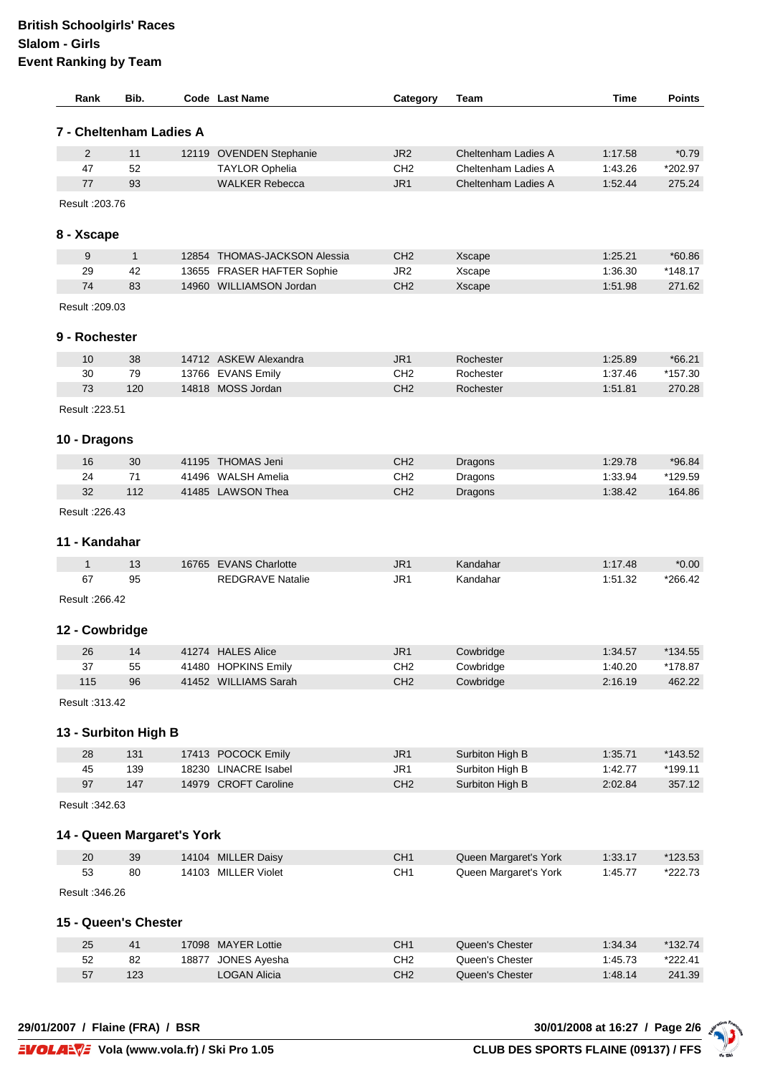## **British Schoolgirls' Races Slalom - Girls Event Ranking by Team**

| Rank            | Bib.                       | <b>Code</b> Last Name                        | Category               | Team                               | Time               | <b>Points</b>     |
|-----------------|----------------------------|----------------------------------------------|------------------------|------------------------------------|--------------------|-------------------|
|                 | 7 - Cheltenham Ladies A    |                                              |                        |                                    |                    |                   |
| 2               | 11                         | 12119 OVENDEN Stephanie                      | JR <sub>2</sub>        | Cheltenham Ladies A                | 1:17.58            | $*0.79$           |
| 47              | 52                         | <b>TAYLOR Ophelia</b>                        | CH <sub>2</sub>        | Cheltenham Ladies A                | 1:43.26            | *202.97           |
| 77              | 93                         | <b>WALKER Rebecca</b>                        | JR <sub>1</sub>        | Cheltenham Ladies A                | 1:52.44            | 275.24            |
| Result : 203.76 |                            |                                              |                        |                                    |                    |                   |
| 8 - Xscape      |                            |                                              |                        |                                    |                    |                   |
| 9               | $\mathbf{1}$               | 12854 THOMAS-JACKSON Alessia                 | CH <sub>2</sub>        | <b>Xscape</b>                      | 1:25.21            | $*60.86$          |
| 29              | 42                         | 13655 FRASER HAFTER Sophie                   | JR <sub>2</sub>        | Xscape                             | 1:36.30            | *148.17           |
| 74              | 83                         | 14960 WILLIAMSON Jordan                      | CH <sub>2</sub>        | Xscape                             | 1:51.98            | 271.62            |
| Result : 209.03 |                            |                                              |                        |                                    |                    |                   |
| 9 - Rochester   |                            |                                              |                        |                                    |                    |                   |
|                 |                            |                                              |                        |                                    |                    |                   |
| 10              | 38                         | 14712 ASKEW Alexandra                        | JR1<br>CH <sub>2</sub> | Rochester                          | 1:25.89            | $*66.21$          |
| 30<br>73        | 79<br>120                  | 13766 EVANS Emily<br>14818 MOSS Jordan       | CH <sub>2</sub>        | Rochester                          | 1:37.46<br>1:51.81 | *157.30<br>270.28 |
| Result : 223.51 |                            |                                              |                        | Rochester                          |                    |                   |
|                 |                            |                                              |                        |                                    |                    |                   |
| 10 - Dragons    |                            |                                              |                        |                                    |                    |                   |
| 16              | 30                         | 41195 THOMAS Jeni                            | CH <sub>2</sub>        | Dragons                            | 1:29.78            | *96.84            |
| 24              | 71                         | 41496 WALSH Amelia                           | CH <sub>2</sub>        | Dragons                            | 1:33.94            | *129.59           |
| 32              | 112                        | 41485 LAWSON Thea                            | CH <sub>2</sub>        | Dragons                            | 1:38.42            | 164.86            |
| Result : 226.43 |                            |                                              |                        |                                    |                    |                   |
| 11 - Kandahar   |                            |                                              |                        |                                    |                    |                   |
| $\mathbf{1}$    | 13                         | 16765 EVANS Charlotte                        | JR <sub>1</sub>        | Kandahar                           | 1:17.48            | $*0.00$           |
| 67              | 95                         | <b>REDGRAVE Natalie</b>                      | JR1                    | Kandahar                           | 1:51.32            | *266.42           |
| Result : 266.42 |                            |                                              |                        |                                    |                    |                   |
| 12 - Cowbridge  |                            |                                              |                        |                                    |                    |                   |
| 26              | 14                         | 41274 HALES Alice                            | JR <sub>1</sub>        | Cowbridge                          | 1:34.57            | *134.55           |
| 37              | 55                         | 41480 HOPKINS Emily                          | CH <sub>2</sub>        | Cowbridge                          | 1:40.20            | *178.87           |
| 115             | 96                         | 41452 WILLIAMS Sarah                         | CH <sub>2</sub>        | Cowbridge                          | 2:16.19            | 462.22            |
| Result : 313.42 |                            |                                              |                        |                                    |                    |                   |
|                 | 13 - Surbiton High B       |                                              |                        |                                    |                    |                   |
|                 |                            |                                              |                        |                                    |                    |                   |
| 28              | 131                        | 17413 POCOCK Emily                           | JR1                    | Surbiton High B                    | 1:35.71            | *143.52           |
| 45<br>97        | 139<br>147                 | 18230 LINACRE Isabel<br>14979 CROFT Caroline | JR1<br>CH <sub>2</sub> | Surbiton High B<br>Surbiton High B | 1:42.77<br>2:02.84 | *199.11<br>357.12 |
| Result : 342.63 |                            |                                              |                        |                                    |                    |                   |
|                 |                            |                                              |                        |                                    |                    |                   |
|                 | 14 - Queen Margaret's York |                                              |                        |                                    |                    |                   |
| 20              | 39                         | 14104 MILLER Daisy                           | CH <sub>1</sub>        | Queen Margaret's York              | 1:33.17            | $*123.53$         |
| 53              | 80                         | 14103 MILLER Violet                          | CH <sub>1</sub>        | Queen Margaret's York              | 1:45.77            | *222.73           |
| Result : 346.26 |                            |                                              |                        |                                    |                    |                   |
|                 | 15 - Queen's Chester       |                                              |                        |                                    |                    |                   |
| 25              | 41                         | 17098 MAYER Lottie                           | CH <sub>1</sub>        | Queen's Chester                    | 1:34.34            | *132.74           |
| 52              | 82                         | 18877 JONES Ayesha                           | CH <sub>2</sub>        | Queen's Chester                    | 1:45.73            | *222.41           |
| 57              | 123                        | <b>LOGAN Alicia</b>                          | CH <sub>2</sub>        | Queen's Chester                    | 1:48.14            | 241.39            |
|                 |                            |                                              |                        |                                    |                    |                   |

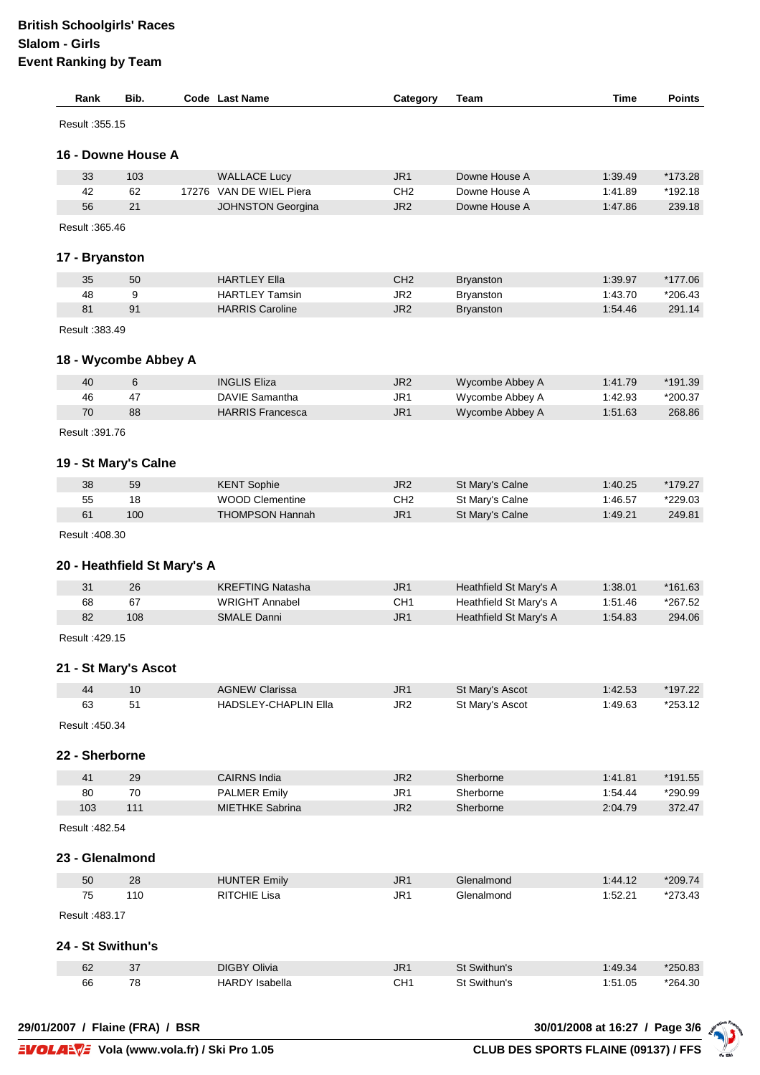| Rank              | Bib.                        | Code Last Name              | Category        | Team                   | Time    | <b>Points</b> |
|-------------------|-----------------------------|-----------------------------|-----------------|------------------------|---------|---------------|
| Result : 355.15   |                             |                             |                 |                        |         |               |
|                   | 16 - Downe House A          |                             |                 |                        |         |               |
| 33                | 103                         | <b>WALLACE Lucy</b>         | JR <sub>1</sub> | Downe House A          | 1:39.49 | *173.28       |
| 42                | 62                          | 17276 VAN DE WIEL Piera     | CH <sub>2</sub> | Downe House A          | 1:41.89 | *192.18       |
| 56                | 21                          | <b>JOHNSTON Georgina</b>    | JR <sub>2</sub> | Downe House A          | 1:47.86 | 239.18        |
| Result : 365.46   |                             |                             |                 |                        |         |               |
| 17 - Bryanston    |                             |                             |                 |                        |         |               |
| 35                | 50                          | <b>HARTLEY Ella</b>         | CH <sub>2</sub> | <b>Bryanston</b>       | 1:39.97 | *177.06       |
| 48                | 9                           | <b>HARTLEY Tamsin</b>       | JR <sub>2</sub> | Bryanston              | 1:43.70 | $*206.43$     |
| 81                | 91                          | <b>HARRIS Caroline</b>      | JR <sub>2</sub> | <b>Bryanston</b>       | 1:54.46 | 291.14        |
| Result : 383.49   |                             |                             |                 |                        |         |               |
|                   | 18 - Wycombe Abbey A        |                             |                 |                        |         |               |
| 40                | 6                           | <b>INGLIS Eliza</b>         | JR <sub>2</sub> | Wycombe Abbey A        | 1:41.79 | *191.39       |
| 46                | 47                          | <b>DAVIE Samantha</b>       | JR1             | Wycombe Abbey A        | 1:42.93 | *200.37       |
| 70                | 88                          | <b>HARRIS Francesca</b>     | JR <sub>1</sub> | Wycombe Abbey A        | 1:51.63 | 268.86        |
| Result : 391.76   |                             |                             |                 |                        |         |               |
|                   | 19 - St Mary's Calne        |                             |                 |                        |         |               |
| 38                | 59                          | <b>KENT Sophie</b>          | JR <sub>2</sub> | St Mary's Calne        | 1:40.25 | *179.27       |
| 55                | 18                          | <b>WOOD Clementine</b>      | CH <sub>2</sub> | St Mary's Calne        | 1:46.57 | *229.03       |
| 61                | 100                         | <b>THOMPSON Hannah</b>      | JR <sub>1</sub> | St Mary's Calne        | 1:49.21 | 249.81        |
| Result : 408.30   |                             |                             |                 |                        |         |               |
|                   | 20 - Heathfield St Mary's A |                             |                 |                        |         |               |
| 31                | 26                          | <b>KREFTING Natasha</b>     | JR <sub>1</sub> | Heathfield St Mary's A | 1:38.01 | $*161.63$     |
| 68                | 67                          | <b>WRIGHT Annabel</b>       | CH <sub>1</sub> | Heathfield St Mary's A | 1:51.46 | *267.52       |
| 82                | 108                         | <b>SMALE Danni</b>          | JR <sub>1</sub> | Heathfield St Mary's A | 1:54.83 | 294.06        |
| Result : 429.15   |                             |                             |                 |                        |         |               |
|                   | 21 - St Mary's Ascot        |                             |                 |                        |         |               |
| 44                | 10                          | <b>AGNEW Clarissa</b>       | JR1             | St Mary's Ascot        | 1:42.53 | *197.22       |
| 63                | 51                          | <b>HADSLEY-CHAPLIN Ella</b> | JR <sub>2</sub> | St Mary's Ascot        | 1:49.63 | *253.12       |
| Result : 450.34   |                             |                             |                 |                        |         |               |
| 22 - Sherborne    |                             |                             |                 |                        |         |               |
| 41                | 29                          | <b>CAIRNS India</b>         | JR <sub>2</sub> | Sherborne              | 1:41.81 | *191.55       |
| 80                | 70                          | <b>PALMER Emily</b>         | JR1             | Sherborne              | 1:54.44 | *290.99       |
| 103               | 111                         | MIETHKE Sabrina             | JR <sub>2</sub> | Sherborne              | 2:04.79 | 372.47        |
| Result : 482.54   |                             |                             |                 |                        |         |               |
| 23 - Glenalmond   |                             |                             |                 |                        |         |               |
| 50                | 28                          | <b>HUNTER Emily</b>         | JR1             | Glenalmond             | 1:44.12 | *209.74       |
| 75                | 110                         | <b>RITCHIE Lisa</b>         | JR <sub>1</sub> | Glenalmond             | 1:52.21 | $*273.43$     |
| Result : 483.17   |                             |                             |                 |                        |         |               |
| 24 - St Swithun's |                             |                             |                 |                        |         |               |
| 62                | 37                          | <b>DIGBY Olivia</b>         | JR1             | St Swithun's           | 1:49.34 | *250.83       |
| 66                | 78                          | <b>HARDY</b> Isabella       | CH <sub>1</sub> | St Swithun's           | 1:51.05 | *264.30       |
|                   |                             |                             |                 |                        |         |               |

**29/01/2007 / Flaine (FRA) / BSR 30/01/2008 at 16:27 / Page 3/6**

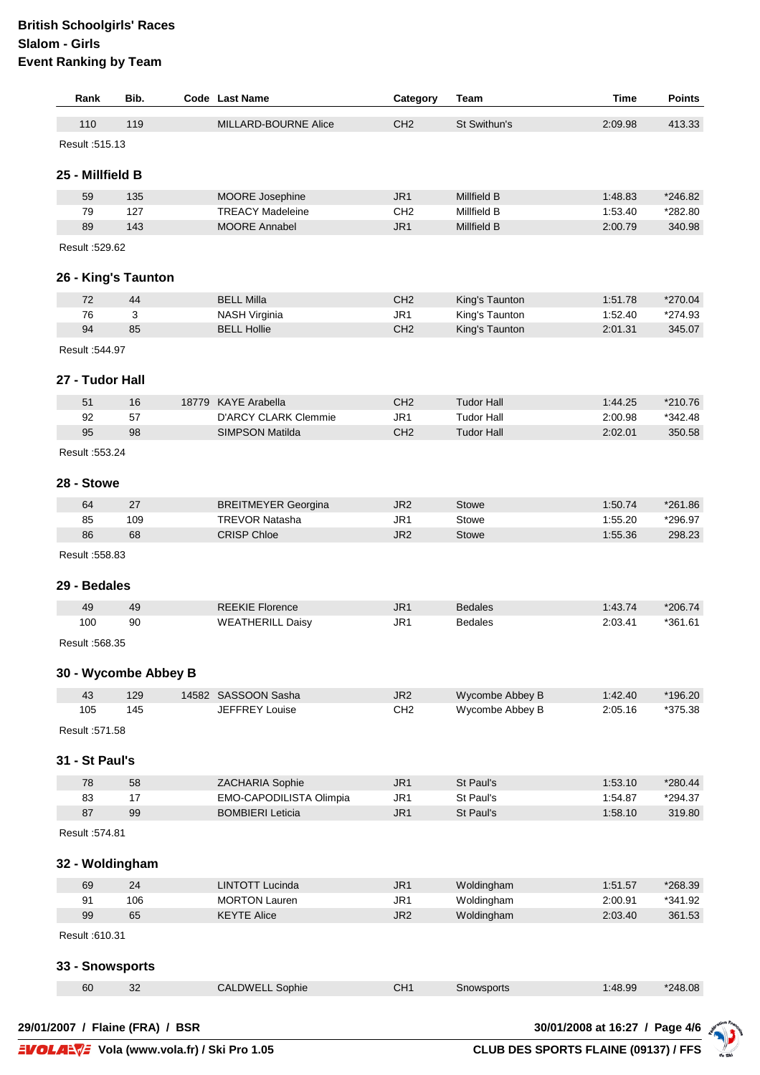## **British Schoolgirls' Races Slalom - Girls Event Ranking by Team**

| Rank             | Bib.                 | Code Last Name              | Category        | Team              | Time    | <b>Points</b> |
|------------------|----------------------|-----------------------------|-----------------|-------------------|---------|---------------|
| 110              | 119                  | MILLARD-BOURNE Alice        | CH <sub>2</sub> | St Swithun's      | 2:09.98 | 413.33        |
| Result : 515.13  |                      |                             |                 |                   |         |               |
| 25 - Millfield B |                      |                             |                 |                   |         |               |
| 59               | 135                  | MOORE Josephine             | JR <sub>1</sub> | Millfield B       | 1:48.83 | *246.82       |
| 79               | 127                  | <b>TREACY Madeleine</b>     | CH <sub>2</sub> | Millfield B       | 1:53.40 | *282.80       |
| 89               | 143                  | <b>MOORE Annabel</b>        | JR <sub>1</sub> | Millfield B       | 2:00.79 | 340.98        |
| Result :529.62   |                      |                             |                 |                   |         |               |
|                  | 26 - King's Taunton  |                             |                 |                   |         |               |
| 72               | 44                   | <b>BELL Milla</b>           | CH <sub>2</sub> | King's Taunton    | 1:51.78 | *270.04       |
| 76               | 3                    | <b>NASH Virginia</b>        | JR <sub>1</sub> | King's Taunton    | 1:52.40 | *274.93       |
| 94               | 85                   | <b>BELL Hollie</b>          | CH <sub>2</sub> | King's Taunton    | 2:01.31 | 345.07        |
| Result :544.97   |                      |                             |                 |                   |         |               |
| 27 - Tudor Hall  |                      |                             |                 |                   |         |               |
| 51               | 16                   | 18779 KAYE Arabella         | CH <sub>2</sub> | <b>Tudor Hall</b> | 1:44.25 | *210.76       |
| 92               | 57                   | <b>D'ARCY CLARK Clemmie</b> | JR <sub>1</sub> | <b>Tudor Hall</b> | 2:00.98 | $*342.48$     |
| 95               | 98                   | <b>SIMPSON Matilda</b>      | CH <sub>2</sub> | <b>Tudor Hall</b> | 2:02.01 | 350.58        |
| Result : 553.24  |                      |                             |                 |                   |         |               |
| 28 - Stowe       |                      |                             |                 |                   |         |               |
| 64               | 27                   | <b>BREITMEYER Georgina</b>  | JR <sub>2</sub> | Stowe             | 1:50.74 | *261.86       |
| 85               | 109                  | <b>TREVOR Natasha</b>       | JR <sub>1</sub> | Stowe             | 1:55.20 | *296.97       |
| 86               | 68                   | <b>CRISP Chloe</b>          | JR <sub>2</sub> | Stowe             | 1:55.36 | 298.23        |
| Result : 558.83  |                      |                             |                 |                   |         |               |
| 29 - Bedales     |                      |                             |                 |                   |         |               |
| 49               | 49                   | <b>REEKIE Florence</b>      | JR <sub>1</sub> | <b>Bedales</b>    | 1:43.74 | $*206.74$     |
| 100              | 90                   | <b>WEATHERILL Daisy</b>     | JR1             | <b>Bedales</b>    | 2:03.41 | $*361.61$     |
| Result : 568.35  |                      |                             |                 |                   |         |               |
|                  | 30 - Wycombe Abbey B |                             |                 |                   |         |               |
| 43               | 129                  | 14582 SASSOON Sasha         | JR <sub>2</sub> | Wycombe Abbey B   | 1:42.40 | *196.20       |
| 105              | 145                  | <b>JEFFREY Louise</b>       | CH <sub>2</sub> | Wycombe Abbey B   | 2:05.16 | *375.38       |
| Result : 571.58  |                      |                             |                 |                   |         |               |
| 31 - St Paul's   |                      |                             |                 |                   |         |               |
| 78               | 58                   | ZACHARIA Sophie             | JR <sub>1</sub> | St Paul's         | 1:53.10 | *280.44       |
| 83               | 17                   | EMO-CAPODILISTA Olimpia     | JR1             | St Paul's         | 1:54.87 | *294.37       |
| 87               | 99                   | <b>BOMBIERI Leticia</b>     | JR1             | St Paul's         | 1:58.10 | 319.80        |
| Result : 574.81  |                      |                             |                 |                   |         |               |
| 32 - Woldingham  |                      |                             |                 |                   |         |               |
| 69               | 24                   | LINTOTT Lucinda             | JR1             | Woldingham        | 1:51.57 | *268.39       |
| 91               | 106                  | <b>MORTON Lauren</b>        | JR1             | Woldingham        | 2:00.91 | *341.92       |
| 99               | 65                   | <b>KEYTE Alice</b>          | JR <sub>2</sub> | Woldingham        | 2:03.40 | 361.53        |
| Result :610.31   |                      |                             |                 |                   |         |               |
| 33 - Snowsports  |                      |                             |                 |                   |         |               |
| 60               | 32                   | <b>CALDWELL Sophie</b>      | CH <sub>1</sub> | Snowsports        | 1:48.99 | *248.08       |

 $d_0$  Sk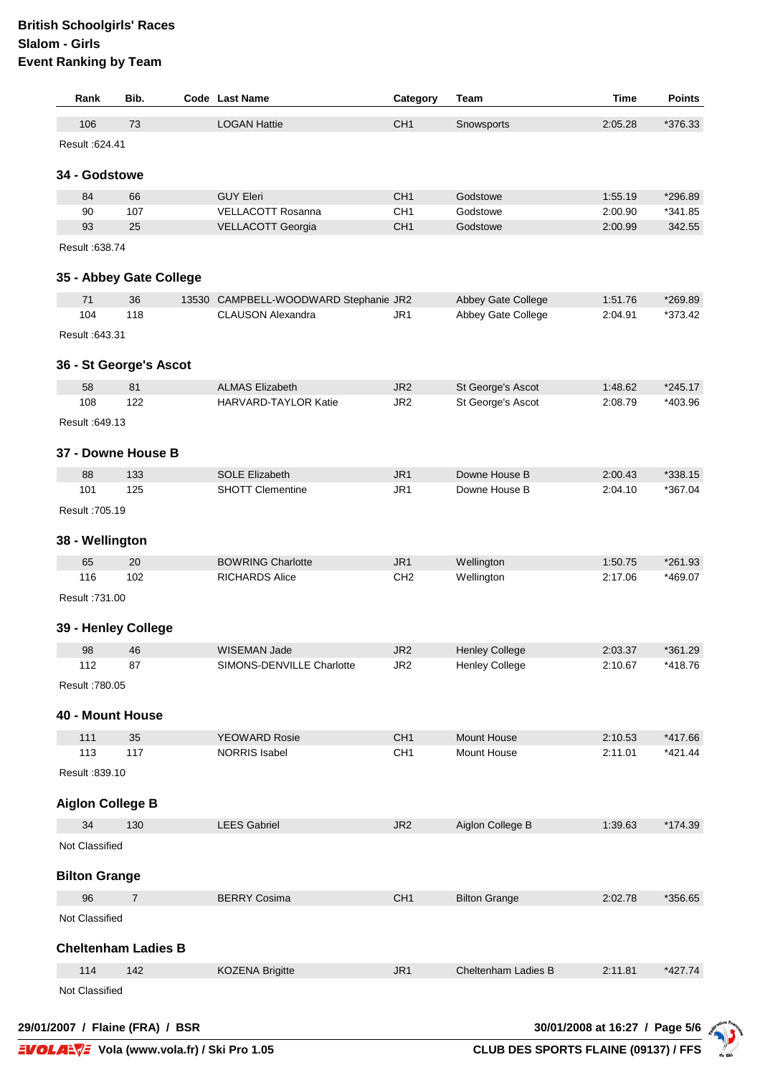| Rank                    | Bib.                       |                                                                                                                                                                                                                                                                                                                                                                                                                                                                                                                                                                                                                                                                                                                                                                                                                                                                                                                                                                                                                                                                                                        | Category        | Team               | Time    | <b>Points</b> |
|-------------------------|----------------------------|--------------------------------------------------------------------------------------------------------------------------------------------------------------------------------------------------------------------------------------------------------------------------------------------------------------------------------------------------------------------------------------------------------------------------------------------------------------------------------------------------------------------------------------------------------------------------------------------------------------------------------------------------------------------------------------------------------------------------------------------------------------------------------------------------------------------------------------------------------------------------------------------------------------------------------------------------------------------------------------------------------------------------------------------------------------------------------------------------------|-----------------|--------------------|---------|---------------|
| 106                     | 73                         | <b>LOGAN Hattie</b>                                                                                                                                                                                                                                                                                                                                                                                                                                                                                                                                                                                                                                                                                                                                                                                                                                                                                                                                                                                                                                                                                    | CH <sub>1</sub> | Snowsports         | 2:05.28 | *376.33       |
| Result : 624.41         |                            |                                                                                                                                                                                                                                                                                                                                                                                                                                                                                                                                                                                                                                                                                                                                                                                                                                                                                                                                                                                                                                                                                                        |                 |                    |         |               |
| 34 - Godstowe           |                            |                                                                                                                                                                                                                                                                                                                                                                                                                                                                                                                                                                                                                                                                                                                                                                                                                                                                                                                                                                                                                                                                                                        |                 |                    |         |               |
|                         |                            |                                                                                                                                                                                                                                                                                                                                                                                                                                                                                                                                                                                                                                                                                                                                                                                                                                                                                                                                                                                                                                                                                                        |                 |                    |         |               |
| 84                      | 66                         |                                                                                                                                                                                                                                                                                                                                                                                                                                                                                                                                                                                                                                                                                                                                                                                                                                                                                                                                                                                                                                                                                                        |                 |                    |         |               |
| 90                      | 107                        |                                                                                                                                                                                                                                                                                                                                                                                                                                                                                                                                                                                                                                                                                                                                                                                                                                                                                                                                                                                                                                                                                                        |                 |                    |         |               |
| 93                      | 25                         |                                                                                                                                                                                                                                                                                                                                                                                                                                                                                                                                                                                                                                                                                                                                                                                                                                                                                                                                                                                                                                                                                                        |                 |                    |         |               |
| Result :638.74          |                            |                                                                                                                                                                                                                                                                                                                                                                                                                                                                                                                                                                                                                                                                                                                                                                                                                                                                                                                                                                                                                                                                                                        |                 |                    |         |               |
|                         | 35 - Abbey Gate College    |                                                                                                                                                                                                                                                                                                                                                                                                                                                                                                                                                                                                                                                                                                                                                                                                                                                                                                                                                                                                                                                                                                        |                 |                    |         |               |
| 71                      | 36                         |                                                                                                                                                                                                                                                                                                                                                                                                                                                                                                                                                                                                                                                                                                                                                                                                                                                                                                                                                                                                                                                                                                        |                 | Abbey Gate College | 1:51.76 | *269.89       |
| 104                     | 118                        | <b>CLAUSON Alexandra</b>                                                                                                                                                                                                                                                                                                                                                                                                                                                                                                                                                                                                                                                                                                                                                                                                                                                                                                                                                                                                                                                                               | JR1             | Abbey Gate College | 2:04.91 | *373.42       |
| Result : 643.31         |                            |                                                                                                                                                                                                                                                                                                                                                                                                                                                                                                                                                                                                                                                                                                                                                                                                                                                                                                                                                                                                                                                                                                        |                 |                    |         |               |
|                         |                            |                                                                                                                                                                                                                                                                                                                                                                                                                                                                                                                                                                                                                                                                                                                                                                                                                                                                                                                                                                                                                                                                                                        |                 |                    |         |               |
|                         | 36 - St George's Ascot     |                                                                                                                                                                                                                                                                                                                                                                                                                                                                                                                                                                                                                                                                                                                                                                                                                                                                                                                                                                                                                                                                                                        |                 |                    |         |               |
| 58                      | 81                         | <b>ALMAS Elizabeth</b>                                                                                                                                                                                                                                                                                                                                                                                                                                                                                                                                                                                                                                                                                                                                                                                                                                                                                                                                                                                                                                                                                 | JR <sub>2</sub> | St George's Ascot  | 1:48.62 | $*245.17$     |
| 108                     | 122                        | HARVARD-TAYLOR Katie                                                                                                                                                                                                                                                                                                                                                                                                                                                                                                                                                                                                                                                                                                                                                                                                                                                                                                                                                                                                                                                                                   | JR <sub>2</sub> | St George's Ascot  | 2:08.79 | *403.96       |
| Result : 649.13         |                            |                                                                                                                                                                                                                                                                                                                                                                                                                                                                                                                                                                                                                                                                                                                                                                                                                                                                                                                                                                                                                                                                                                        |                 |                    |         |               |
|                         |                            |                                                                                                                                                                                                                                                                                                                                                                                                                                                                                                                                                                                                                                                                                                                                                                                                                                                                                                                                                                                                                                                                                                        |                 |                    |         |               |
|                         | 37 - Downe House B         |                                                                                                                                                                                                                                                                                                                                                                                                                                                                                                                                                                                                                                                                                                                                                                                                                                                                                                                                                                                                                                                                                                        |                 |                    |         |               |
| 88                      | 133                        | <b>SOLE Elizabeth</b>                                                                                                                                                                                                                                                                                                                                                                                                                                                                                                                                                                                                                                                                                                                                                                                                                                                                                                                                                                                                                                                                                  | JR1             | Downe House B      | 2:00.43 | *338.15       |
| 101                     | 125                        | <b>SHOTT Clementine</b>                                                                                                                                                                                                                                                                                                                                                                                                                                                                                                                                                                                                                                                                                                                                                                                                                                                                                                                                                                                                                                                                                | JR1             | Downe House B      | 2:04.10 | *367.04       |
| Result : 705.19         |                            |                                                                                                                                                                                                                                                                                                                                                                                                                                                                                                                                                                                                                                                                                                                                                                                                                                                                                                                                                                                                                                                                                                        |                 |                    |         |               |
|                         |                            | <b>Code</b> Last Name<br>CH <sub>1</sub><br>*296.89<br><b>GUY Eleri</b><br>Godstowe<br>1:55.19<br><b>VELLACOTT Rosanna</b><br>CH <sub>1</sub><br>2:00.90<br>*341.85<br>Godstowe<br>CH <sub>1</sub><br>342.55<br>VELLACOTT Georgia<br>Godstowe<br>2:00.99<br>13530 CAMPBELL-WOODWARD Stephanie JR2<br><b>BOWRING Charlotte</b><br>JR <sub>1</sub><br>Wellington<br>1:50.75<br>*261.93<br><b>RICHARDS Alice</b><br>CH <sub>2</sub><br>Wellington<br>*469.07<br>2:17.06<br>JR <sub>2</sub><br>WISEMAN Jade<br><b>Henley College</b><br>2:03.37<br>*361.29<br>SIMONS-DENVILLE Charlotte<br>JR <sub>2</sub><br><b>Henley College</b><br>2:10.67<br>*418.76<br>CH <sub>1</sub><br>Mount House<br>*417.66<br><b>YEOWARD Rosie</b><br>2:10.53<br><b>NORRIS Isabel</b><br>CH <sub>1</sub><br><b>Mount House</b><br>2:11.01<br>$*421.44$<br>JR <sub>2</sub><br>Aiglon College B<br>*174.39<br><b>LEES Gabriel</b><br>1:39.63<br><b>BERRY Cosima</b><br>CH <sub>1</sub><br><b>Bilton Grange</b><br>*356.65<br>2:02.78<br>JR <sub>1</sub><br>Cheltenham Ladies B<br>2:11.81<br>$*427.74$<br><b>KOZENA Brigitte</b> |                 |                    |         |               |
| 38 - Wellington         |                            |                                                                                                                                                                                                                                                                                                                                                                                                                                                                                                                                                                                                                                                                                                                                                                                                                                                                                                                                                                                                                                                                                                        |                 |                    |         |               |
| 65                      | 20                         |                                                                                                                                                                                                                                                                                                                                                                                                                                                                                                                                                                                                                                                                                                                                                                                                                                                                                                                                                                                                                                                                                                        |                 |                    |         |               |
| 116                     | 102                        |                                                                                                                                                                                                                                                                                                                                                                                                                                                                                                                                                                                                                                                                                                                                                                                                                                                                                                                                                                                                                                                                                                        |                 |                    |         |               |
| Result : 731.00         |                            |                                                                                                                                                                                                                                                                                                                                                                                                                                                                                                                                                                                                                                                                                                                                                                                                                                                                                                                                                                                                                                                                                                        |                 |                    |         |               |
|                         |                            |                                                                                                                                                                                                                                                                                                                                                                                                                                                                                                                                                                                                                                                                                                                                                                                                                                                                                                                                                                                                                                                                                                        |                 |                    |         |               |
|                         | 39 - Henley College        |                                                                                                                                                                                                                                                                                                                                                                                                                                                                                                                                                                                                                                                                                                                                                                                                                                                                                                                                                                                                                                                                                                        |                 |                    |         |               |
| 98                      | 46                         |                                                                                                                                                                                                                                                                                                                                                                                                                                                                                                                                                                                                                                                                                                                                                                                                                                                                                                                                                                                                                                                                                                        |                 |                    |         |               |
| 112                     | 87                         |                                                                                                                                                                                                                                                                                                                                                                                                                                                                                                                                                                                                                                                                                                                                                                                                                                                                                                                                                                                                                                                                                                        |                 |                    |         |               |
| Result : 780.05         |                            |                                                                                                                                                                                                                                                                                                                                                                                                                                                                                                                                                                                                                                                                                                                                                                                                                                                                                                                                                                                                                                                                                                        |                 |                    |         |               |
|                         |                            |                                                                                                                                                                                                                                                                                                                                                                                                                                                                                                                                                                                                                                                                                                                                                                                                                                                                                                                                                                                                                                                                                                        |                 |                    |         |               |
| 40 - Mount House        |                            |                                                                                                                                                                                                                                                                                                                                                                                                                                                                                                                                                                                                                                                                                                                                                                                                                                                                                                                                                                                                                                                                                                        |                 |                    |         |               |
| 111                     | 35                         |                                                                                                                                                                                                                                                                                                                                                                                                                                                                                                                                                                                                                                                                                                                                                                                                                                                                                                                                                                                                                                                                                                        |                 |                    |         |               |
| 113                     | 117                        |                                                                                                                                                                                                                                                                                                                                                                                                                                                                                                                                                                                                                                                                                                                                                                                                                                                                                                                                                                                                                                                                                                        |                 |                    |         |               |
| Result :839.10          |                            |                                                                                                                                                                                                                                                                                                                                                                                                                                                                                                                                                                                                                                                                                                                                                                                                                                                                                                                                                                                                                                                                                                        |                 |                    |         |               |
|                         |                            |                                                                                                                                                                                                                                                                                                                                                                                                                                                                                                                                                                                                                                                                                                                                                                                                                                                                                                                                                                                                                                                                                                        |                 |                    |         |               |
| <b>Aiglon College B</b> |                            |                                                                                                                                                                                                                                                                                                                                                                                                                                                                                                                                                                                                                                                                                                                                                                                                                                                                                                                                                                                                                                                                                                        |                 |                    |         |               |
| 34                      | 130                        |                                                                                                                                                                                                                                                                                                                                                                                                                                                                                                                                                                                                                                                                                                                                                                                                                                                                                                                                                                                                                                                                                                        |                 |                    |         |               |
| Not Classified          |                            |                                                                                                                                                                                                                                                                                                                                                                                                                                                                                                                                                                                                                                                                                                                                                                                                                                                                                                                                                                                                                                                                                                        |                 |                    |         |               |
|                         |                            |                                                                                                                                                                                                                                                                                                                                                                                                                                                                                                                                                                                                                                                                                                                                                                                                                                                                                                                                                                                                                                                                                                        |                 |                    |         |               |
| <b>Bilton Grange</b>    |                            |                                                                                                                                                                                                                                                                                                                                                                                                                                                                                                                                                                                                                                                                                                                                                                                                                                                                                                                                                                                                                                                                                                        |                 |                    |         |               |
| 96                      | $\overline{7}$             |                                                                                                                                                                                                                                                                                                                                                                                                                                                                                                                                                                                                                                                                                                                                                                                                                                                                                                                                                                                                                                                                                                        |                 |                    |         |               |
| Not Classified          |                            |                                                                                                                                                                                                                                                                                                                                                                                                                                                                                                                                                                                                                                                                                                                                                                                                                                                                                                                                                                                                                                                                                                        |                 |                    |         |               |
|                         |                            |                                                                                                                                                                                                                                                                                                                                                                                                                                                                                                                                                                                                                                                                                                                                                                                                                                                                                                                                                                                                                                                                                                        |                 |                    |         |               |
|                         | <b>Cheltenham Ladies B</b> |                                                                                                                                                                                                                                                                                                                                                                                                                                                                                                                                                                                                                                                                                                                                                                                                                                                                                                                                                                                                                                                                                                        |                 |                    |         |               |
| 114                     | 142                        |                                                                                                                                                                                                                                                                                                                                                                                                                                                                                                                                                                                                                                                                                                                                                                                                                                                                                                                                                                                                                                                                                                        |                 |                    |         |               |
| Not Classified          |                            |                                                                                                                                                                                                                                                                                                                                                                                                                                                                                                                                                                                                                                                                                                                                                                                                                                                                                                                                                                                                                                                                                                        |                 |                    |         |               |
|                         |                            |                                                                                                                                                                                                                                                                                                                                                                                                                                                                                                                                                                                                                                                                                                                                                                                                                                                                                                                                                                                                                                                                                                        |                 |                    |         |               |

**29/01/2007 / Flaine (FRA) / BSR 30/01/2008 at 16:27 / Page 5/6**